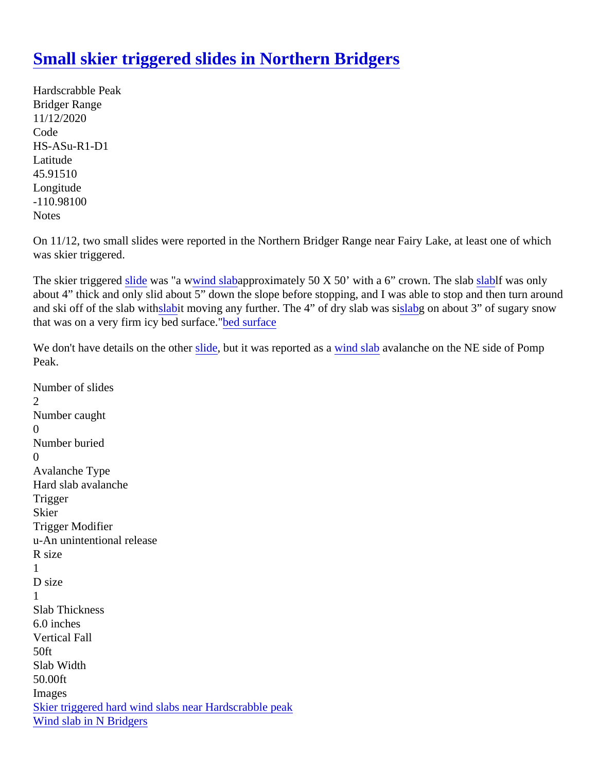## [Small skier triggered slides in Northern Bridgers](https://www.mtavalanche.com/node/23082)

Hardscrabble Peak Bridger Range 11/12/2020 Code HS-ASu-R1-D1 Latitude 45.91510 Longitude -110.98100 **Notes** 

On 11/12, two small slides were reported in the Northern Bridger Range near Fairy Lake, at least one of whic was skier triggered.

The skier triggered lide was "a [wwind slaba](https://www.mtavalanche.com/taxonomy/term/326)pproximately 50 X 50' with a 6" crown. The slab aldf was only about 4" thick and only slid about 5" down the slope before stopping, and I was able to stop and then turn aro and ski off of the slab withabit moving any further. The 4" of dry slab was labg on about 3" of sugary snow that was on a very firm  $i$ cy [bed surfac](https://www.mtavalanche.com/taxonomy/term/261)e surface

We don't have details on the othoust but it was reported as wand slabavalanche on the NE side of Pomp Peak.

```
Number of slides
2
Number caught
\OmegaNumber buried
\OmegaAvalanche Type
Hard slab avalanche
Trigger
Skier
Trigger Modifier
u-An unintentional release
R size
1
D size
1
Slab Thickness
6.0 inches
Vertical Fall
50ft
Slab Width
50.00ft
Images
Skier triggered hard wind slabs near Hardscrabble peak
Wind slab in N Bridgers
```